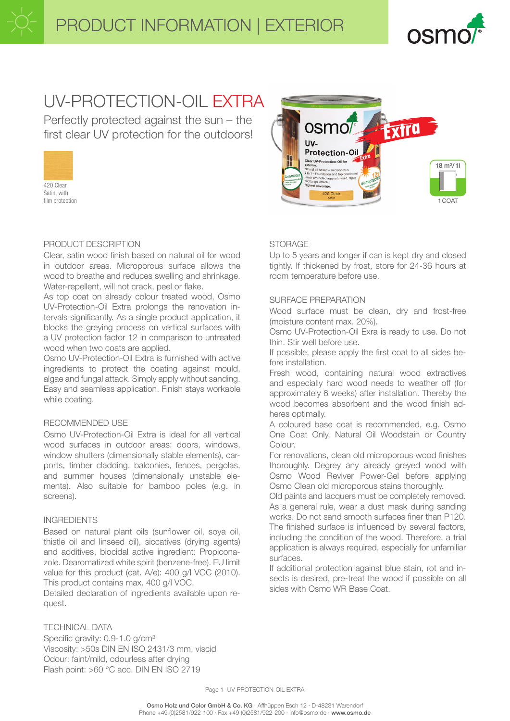

# UV-PROTECTION-OIL EXTRA

Perfectly protected against the sun – the first clear UV protection for the outdoors!



Satin, with film protection

# PRODUCT DESCRIPTION

Clear, satin wood finish based on natural oil for wood in outdoor areas. Microporous surface allows the wood to breathe and reduces swelling and shrinkage. Water-repellent, will not crack, peel or flake.

As top coat on already colour treated wood, Osmo UV-Protection-Oil Extra prolongs the renovation intervals significantly. As a single product application, it blocks the greying process on vertical surfaces with a UV protection factor 12 in comparison to untreated wood when two coats are applied.

Osmo UV-Protection-Oil Extra is furnished with active ingredients to protect the coating against mould, algae and fungal attack. Simply apply without sanding. Easy and seamless application. Finish stays workable while coating.

# RECOMMENDED USE

Osmo UV-Protection-Oil Extra is ideal for all vertical wood surfaces in outdoor areas: doors, windows, window shutters (dimensionally stable elements), carports, timber cladding, balconies, fences, pergolas, and summer houses (dimensionally unstable elements). Also suitable for bamboo poles (e.g. in screens).

# INGREDIENTS

Based on natural plant oils (sunflower oil, soya oil, thistle oil and linseed oil), siccatives (drying agents) and additives, biocidal active ingredient: Propiconazole. Dearomatized white spirit (benzene-free). EU limit value for this product (cat. A/e): 400 g/l VOC (2010). This product contains max. 400 g/l VOC.

Detailed declaration of ingredients available upon request.

# TECHNICAL DATA

Specific gravity: 0.9-1.0 g/cm<sup>3</sup> Viscosity: >50s DIN EN ISO 2431/3 mm, viscid Odour: faint/mild, odourless after drying Flash point: >60 °C acc. DIN EN ISO 2719



# **STORAGE**

Up to 5 years and longer if can is kept dry and closed tightly. If thickened by frost, store for 24-36 hours at room temperature before use.

# SURFACE PREPARATION

Wood surface must be clean, dry and frost-free (moisture content max. 20%).

Osmo UV-Protection-Oil Exra is ready to use. Do not thin. Stir well before use.

If possible, please apply the first coat to all sides before installation.

Fresh wood, containing natural wood extractives and especially hard wood needs to weather off (for approximately 6 weeks) after installation. Thereby the wood becomes absorbent and the wood finish adheres optimally.

A coloured base coat is recommended, e.g. Osmo One Coat Only, Natural Oil Woodstain or Country Colour.

For renovations, clean old microporous wood finishes thoroughly. Degrey any already greyed wood with Osmo Wood Reviver Power-Gel before applying Osmo Clean old microporous stains thoroughly.

Old paints and lacquers must be completely removed. As a general rule, wear a dust mask during sanding works. Do not sand smooth surfaces finer than P120. The finished surface is influenced by several factors, including the condition of the wood. Therefore, a trial application is always required, especially for unfamiliar surfaces.

If additional protection against blue stain, rot and insects is desired, pre-treat the wood if possible on all sides with Osmo WR Base Coat.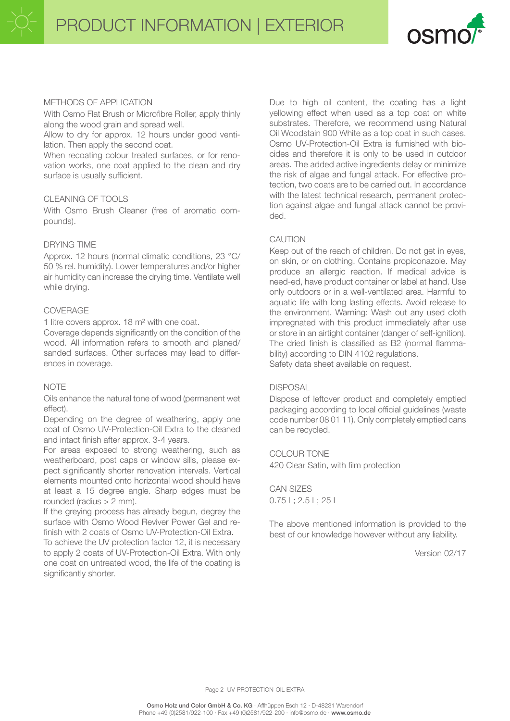

# METHODS OF APPLICATION

With Osmo Flat Brush or Microfibre Roller, apply thinly along the wood grain and spread well.

Allow to dry for approx. 12 hours under good ventilation. Then apply the second coat.

When recoating colour treated surfaces, or for renovation works, one coat applied to the clean and dry surface is usually sufficient.

# CLEANING OF TOOLS

With Osmo Brush Cleaner (free of aromatic compounds).

#### DRYING TIME

Approx. 12 hours (normal climatic conditions, 23 °C/ 50 % rel. humidity). Lower temperatures and/or higher air humidity can increase the drying time. Ventilate well while drying.

# COVERAGE

1 litre covers approx. 18 m² with one coat.

Coverage depends significantly on the condition of the wood. All information refers to smooth and planed/ sanded surfaces. Other surfaces may lead to differences in coverage.

# **NOTE**

Oils enhance the natural tone of wood (permanent wet effect).

Depending on the degree of weathering, apply one coat of Osmo UV-Protection-Oil Extra to the cleaned and intact finish after approx. 3-4 years.

For areas exposed to strong weathering, such as weatherboard, post caps or window sills, please expect significantly shorter renovation intervals. Vertical elements mounted onto horizontal wood should have at least a 15 degree angle. Sharp edges must be rounded (radius  $> 2$  mm).

If the greying process has already begun, degrey the surface with Osmo Wood Reviver Power Gel and refinish with 2 coats of Osmo UV-Protection-Oil Extra.

To achieve the UV protection factor 12, it is necessary to apply 2 coats of UV-Protection-Oil Extra. With only one coat on untreated wood, the life of the coating is significantly shorter.

Due to high oil content, the coating has a light yellowing effect when used as a top coat on white substrates. Therefore, we recommend using Natural Oil Woodstain 900 White as a top coat in such cases. Osmo UV-Protection-Oil Extra is furnished with biocides and therefore it is only to be used in outdoor areas. The added active ingredients delay or minimize the risk of algae and fungal attack. For effective protection, two coats are to be carried out. In accordance with the latest technical research, permanent protection against algae and fungal attack cannot be provided.

# CAUTION

Keep out of the reach of children. Do not get in eyes, on skin, or on clothing. Contains propiconazole. May produce an allergic reaction. If medical advice is need-ed, have product container or label at hand. Use only outdoors or in a well-ventilated area. Harmful to aquatic life with long lasting effects. Avoid release to the environment. Warning: Wash out any used cloth impregnated with this product immediately after use or store in an airtight container (danger of self-ignition). The dried finish is classified as B2 (normal flammability) according to DIN 4102 regulations. Safety data sheet available on request.

# **DISPOSAL**

Dispose of leftover product and completely emptied packaging according to local official guidelines (waste code number 08 01 11). Only completely emptied cans can be recycled.

COLOUR TONE 420 Clear Satin, with film protection

CAN SIZES 0.75 L; 2.5 L; 25 L

The above mentioned information is provided to the best of our knowledge however without any liability.

Version 02/17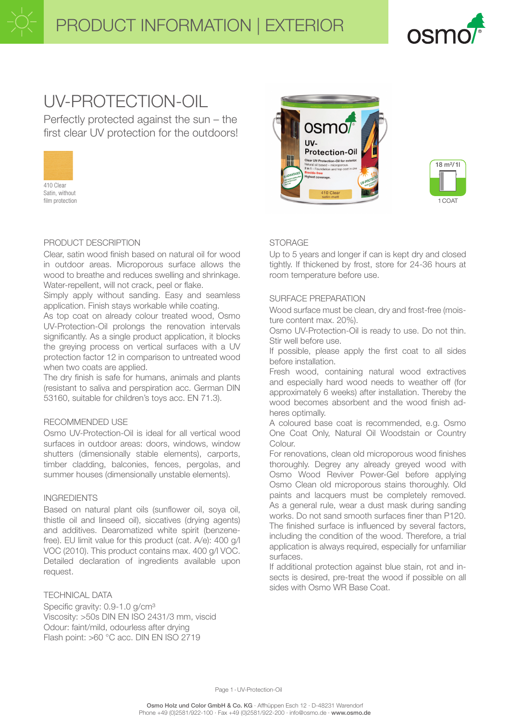

# UV-PROTECTION-OIL

Perfectly protected against the sun – the first clear UV protection for the outdoors!



Satin, without film protection

# PRODUCT DESCRIPTION

Clear, satin wood finish based on natural oil for wood in outdoor areas. Microporous surface allows the wood to breathe and reduces swelling and shrinkage. Water-repellent, will not crack, peel or flake.

Simply apply without sanding. Easy and seamless application. Finish stays workable while coating.

As top coat on already colour treated wood, Osmo UV-Protection-Oil prolongs the renovation intervals significantly. As a single product application, it blocks the greying process on vertical surfaces with a UV protection factor 12 in comparison to untreated wood when two coats are applied.

The dry finish is safe for humans, animals and plants (resistant to saliva and perspiration acc. German DIN 53160, suitable for children's toys acc. EN 71.3).

# RECOMMENDED USE

Osmo UV-Protection-Oil is ideal for all vertical wood surfaces in outdoor areas: doors, windows, window shutters (dimensionally stable elements), carports, timber cladding, balconies, fences, pergolas, and summer houses (dimensionally unstable elements).

# INGREDIENTS

Based on natural plant oils (sunflower oil, soya oil, thistle oil and linseed oil), siccatives (drying agents) and additives. Dearomatized white spirit (benzenefree). EU limit value for this product (cat. A/e): 400 g/l VOC (2010). This product contains max. 400 g/l VOC. Detailed declaration of ingredients available upon request.

# TECHNICAL DATA

Specific gravity: 0.9-1.0 g/cm<sup>3</sup> Viscosity: >50s DIN EN ISO 2431/3 mm, viscid Odour: faint/mild, odourless after drying Flash point: >60 °C acc. DIN EN ISO 2719





# **STORAGE**

Up to 5 years and longer if can is kept dry and closed tightly. If thickened by frost, store for 24-36 hours at room temperature before use.

# SURFACE PREPARATION

Wood surface must be clean, dry and frost-free (moisture content max. 20%).

Osmo UV-Protection-Oil is ready to use. Do not thin. Stir well before use.

If possible, please apply the first coat to all sides before installation.

Fresh wood, containing natural wood extractives and especially hard wood needs to weather off (for approximately 6 weeks) after installation. Thereby the wood becomes absorbent and the wood finish adheres optimally.

A coloured base coat is recommended, e.g. Osmo One Coat Only, Natural Oil Woodstain or Country Colour.

For renovations, clean old microporous wood finishes thoroughly. Degrey any already greyed wood with Osmo Wood Reviver Power-Gel before applying Osmo Clean old microporous stains thoroughly. Old paints and lacquers must be completely removed. As a general rule, wear a dust mask during sanding works. Do not sand smooth surfaces finer than P120. The finished surface is influenced by several factors, including the condition of the wood. Therefore, a trial application is always required, especially for unfamiliar surfaces.

If additional protection against blue stain, rot and insects is desired, pre-treat the wood if possible on all sides with Osmo WR Base Coat.